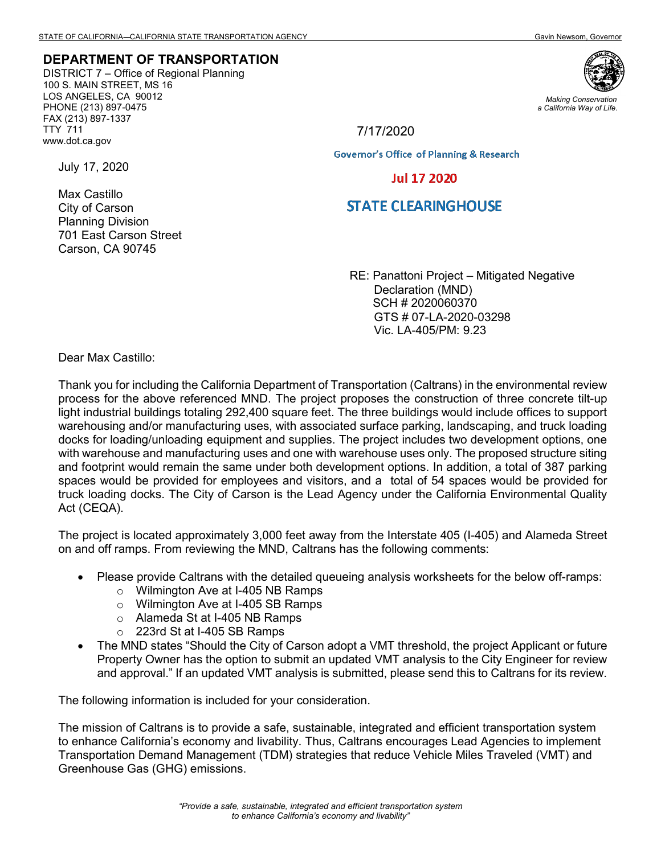## **DEPARTMENT OF TRANSPORTATION**

DISTRICT 7 – Office of Regional Planning 100 S. MAIN STREET, MS 16 LOS ANGELES, CA 90012 PHONE (213) 897-0475 FAX (213) 897-1337 TTY 711 www.dot.ca.gov



*Making Conservation a California Way of Life.*

## 7/17/2020

**Governor's Office of Planning & Research** 

## **Jul 17 2020**

## **STATE CLEARINGHOUSE**

RE: Panattoni Project – Mitigated Negative Declaration (MND) SCH # 2020060370 GTS # 07-LA-2020-03298 Vic. LA-405/PM: 9.23

Dear Max Castillo:

Thank you for including the California Department of Transportation (Caltrans) in the environmental review process for the above referenced MND. The project proposes the construction of three concrete tilt-up light industrial buildings totaling 292,400 square feet. The three buildings would include offices to support warehousing and/or manufacturing uses, with associated surface parking, landscaping, and truck loading docks for loading/unloading equipment and supplies. The project includes two development options, one with warehouse and manufacturing uses and one with warehouse uses only. The proposed structure siting and footprint would remain the same under both development options. In addition, a total of 387 parking spaces would be provided for employees and visitors, and a total of 54 spaces would be provided for truck loading docks. The City of Carson is the Lead Agency under the California Environmental Quality Act (CEQA).

The project is located approximately 3,000 feet away from the Interstate 405 (I-405) and Alameda Street on and off ramps. From reviewing the MND, Caltrans has the following comments:

- Please provide Caltrans with the detailed queueing analysis worksheets for the below off-ramps:
	- o Wilmington Ave at I-405 NB Ramps
	- o Wilmington Ave at I-405 SB Ramps
	- o Alameda St at I-405 NB Ramps
	- o 223rd St at I-405 SB Ramps
- The MND states "Should the City of Carson adopt a VMT threshold, the project Applicant or future Property Owner has the option to submit an updated VMT analysis to the City Engineer for review and approval." If an updated VMT analysis is submitted, please send this to Caltrans for its review.

The following information is included for your consideration.

The mission of Caltrans is to provide a safe, sustainable, integrated and efficient transportation system to enhance California's economy and livability. Thus, Caltrans encourages Lead Agencies to implement Transportation Demand Management (TDM) strategies that reduce Vehicle Miles Traveled (VMT) and Greenhouse Gas (GHG) emissions.

July 17, 2020

Max Castillo City of Carson Planning Division 701 East Carson Street Carson, CA 90745